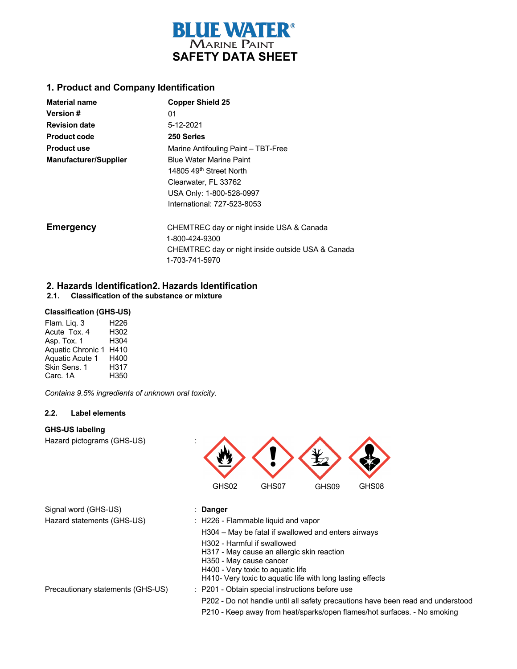

### **1. Product and Company Identification**

| <b>Material name</b>         | <b>Copper Shield 25</b>                           |
|------------------------------|---------------------------------------------------|
| Version #                    | 01                                                |
| <b>Revision date</b>         | 5-12-2021                                         |
| <b>Product code</b>          | 250 Series                                        |
| <b>Product use</b>           | Marine Antifouling Paint - TBT-Free               |
| <b>Manufacturer/Supplier</b> | <b>Blue Water Marine Paint</b>                    |
|                              | 14805 49 <sup>th</sup> Street North               |
|                              | Clearwater, FL 33762                              |
|                              | USA Only: 1-800-528-0997                          |
|                              | International: 727-523-8053                       |
| <b>Emergency</b>             | CHEMTREC day or night inside USA & Canada         |
|                              | 1-800-424-9300                                    |
|                              | CHEMTREC day or night inside outside USA & Canada |
|                              | 1-703-741-5970                                    |

# **2. Hazards Identification2. Hazards Identification 2.1. Classification of the substance or mixture**

#### **Classification (GHS-US)**

Flam. Liq. 3 H226 Acute Tox. 4 H302 Asp. Tox. 1 H304 Aquatic Chronic 1 H410 Aquatic Acute 1 Skin Sens. 1 Carc. 1A H400 H317 H350

 *Contains 9.5% ingredients of unknown oral toxicity.*

### **2.2. Label elements**

#### **GHS-US labeling**

Hazard pictograms (GHS-US) :



| : Danger                                            |                                                  |
|-----------------------------------------------------|--------------------------------------------------|
| $\therefore$ H226 - Flammable liquid and vapor      |                                                  |
| H304 – May be fatal if swallowed and enters airways |                                                  |
| H302 - Harmful if swallowed                         |                                                  |
|                                                     | 11047 - Married and alleged a client and address |

H317 - May cause an allergic skin reaction

- H350 May cause cancer
- H400 Very toxic to aquatic life
- H410- Very toxic to aquatic life with long lasting effects
- Precautionary statements (GHS-US) : P201 Obtain special instructions before use
	- P202 Do not handle until all safety precautions have been read and understood
	- P210 Keep away from heat/sparks/open flames/hot surfaces. No smoking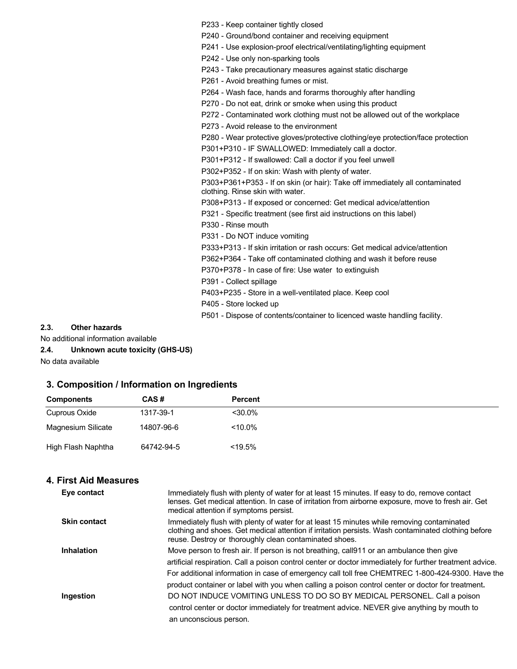P233 - Keep container tightly closed

- P240 Ground/bond container and receiving equipment
- P241 Use explosion-proof electrical/ventilating/lighting equipment

P242 - Use only non-sparking tools

P243 - Take precautionary measures against static discharge

P261 - Avoid breathing fumes or mist.

P264 - Wash face, hands and forarms thoroughly after handling

P270 - Do not eat, drink or smoke when using this product

P272 - Contaminated work clothing must not be allowed out of the workplace

P273 - Avoid release to the environment

P280 - Wear protective gloves/protective clothing/eye protection/face protection

P301+P310 - IF SWALLOWED: Immediately call a doctor.

P301+P312 - If swallowed: Call a doctor if you feel unwell

P302+P352 - If on skin: Wash with plenty of water.

P303+P361+P353 - If on skin (or hair): Take off immediately all contaminated clothing. Rinse skin with water.

P308+P313 - If exposed or concerned: Get medical advice/attention

P321 - Specific treatment (see first aid instructions on this label)

P330 - Rinse mouth

P331 - Do NOT induce vomiting

P333+P313 - If skin irritation or rash occurs: Get medical advice/attention

P362+P364 - Take off contaminated clothing and wash it before reuse

P370+P378 - In case of fire: Use water to extinguish

P391 - Collect spillage

P403+P235 - Store in a well-ventilated place. Keep cool

P405 - Store locked up

P501 - Dispose of contents/container to licenced waste handling facility.

#### **2.3. Other hazards**

No additional information available

#### **2.4. Unknown acute toxicity (GHS-US)**

No data available

### **3. Composition / Information on Ingredients**

| <b>Components</b>  | CAS#       | Percent   |
|--------------------|------------|-----------|
| Cuprous Oxide      | 1317-39-1  | $<$ 30.0% |
| Magnesium Silicate | 14807-96-6 | $<$ 10.0% |
| High Flash Naphtha | 64742-94-5 | $<$ 19.5% |

### **4. First Aid Measures**

| Eye contact         | Immediately flush with plenty of water for at least 15 minutes. If easy to do, remove contact<br>lenses. Get medical attention. In case of irritation from airborne exposure, move to fresh air. Get<br>medical attention if symptoms persist.              |
|---------------------|-------------------------------------------------------------------------------------------------------------------------------------------------------------------------------------------------------------------------------------------------------------|
| <b>Skin contact</b> | Immediately flush with plenty of water for at least 15 minutes while removing contaminated<br>clothing and shoes. Get medical attention if irritation persists. Wash contaminated clothing before<br>reuse. Destroy or thoroughly clean contaminated shoes. |
| <b>Inhalation</b>   | Move person to fresh air. If person is not breathing, call 911 or an ambulance then give                                                                                                                                                                    |
|                     | artificial respiration. Call a poison control center or doctor immediately for further treatment advice.                                                                                                                                                    |
|                     | For additional information in case of emergency call toll free CHEMTREC 1-800-424-9300. Have the                                                                                                                                                            |
|                     | product container or label with you when calling a poison control center or doctor for treatment.                                                                                                                                                           |
| Ingestion           | DO NOT INDUCE VOMITING UNLESS TO DO SO BY MEDICAL PERSONEL. Call a poison                                                                                                                                                                                   |
|                     | control center or doctor immediately for treatment advice. NEVER give anything by mouth to                                                                                                                                                                  |
|                     | an unconscious person.                                                                                                                                                                                                                                      |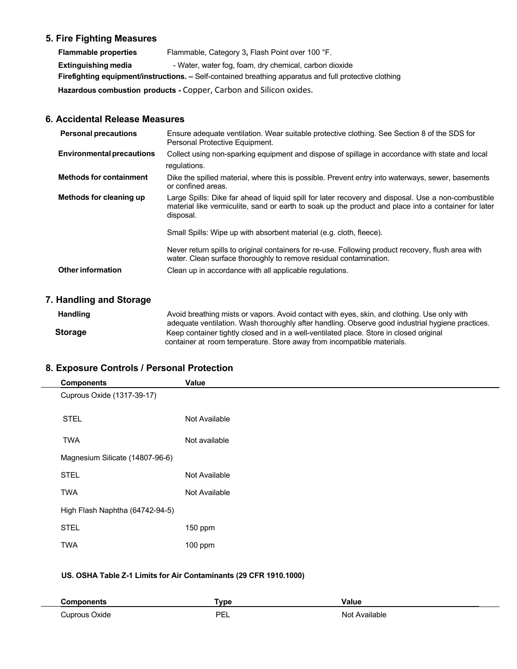# **5. Fire Fighting Measures**

| <b>Flammable properties</b>                                                                                   | Flammable, Category 3, Flash Point over 100 °F.        |
|---------------------------------------------------------------------------------------------------------------|--------------------------------------------------------|
| Extinguishing media                                                                                           | - Water, water fog, foam, dry chemical, carbon dioxide |
| <b>Firefighting equipment/instructions.</b> – Self-contained breathing apparatus and full protective clothing |                                                        |
| Hazardous combustion products - Copper, Carbon and Silicon oxides.                                            |                                                        |
|                                                                                                               |                                                        |

# **6. Accidental Release Measures**

| <b>Personal precautions</b>      | Ensure adequate ventilation. Wear suitable protective clothing. See Section 8 of the SDS for<br>Personal Protective Equipment.                                                                                           |
|----------------------------------|--------------------------------------------------------------------------------------------------------------------------------------------------------------------------------------------------------------------------|
| <b>Environmental precautions</b> | Collect using non-sparking equipment and dispose of spillage in accordance with state and local<br>regulations.                                                                                                          |
| <b>Methods for containment</b>   | Dike the spilled material, where this is possible. Prevent entry into waterways, sewer, basements<br>or confined areas.                                                                                                  |
| Methods for cleaning up          | Large Spills: Dike far ahead of liquid spill for later recovery and disposal. Use a non-combustible<br>material like vermiculite, sand or earth to soak up the product and place into a container for later<br>disposal. |
|                                  | Small Spills: Wipe up with absorbent material (e.g. cloth, fleece).                                                                                                                                                      |
|                                  | Never return spills to original containers for re-use. Following product recovery, flush area with<br>water. Clean surface thoroughly to remove residual contamination.                                                  |
| <b>Other information</b>         | Clean up in accordance with all applicable regulations.                                                                                                                                                                  |

# **7. Handling and Storage**

| <b>Handling</b> | Avoid breathing mists or vapors. Avoid contact with eyes, skin, and clothing. Use only with<br>adequate ventilation. Wash thoroughly after handling. Observe good industrial hygiene practices. |
|-----------------|-------------------------------------------------------------------------------------------------------------------------------------------------------------------------------------------------|
| <b>Storage</b>  | Keep container tightly closed and in a well-ventilated place. Store in closed original<br>container at room temperature. Store away from incompatible materials.                                |

# **8. Exposure Controls / Personal Protection**

| <b>Components</b>               | Value         |
|---------------------------------|---------------|
| Cuprous Oxide (1317-39-17)      |               |
| <b>STEL</b>                     | Not Available |
| <b>TWA</b>                      | Not available |
| Magnesium Silicate (14807-96-6) |               |
| <b>STEL</b>                     | Not Available |
| <b>TWA</b>                      | Not Available |
| High Flash Naphtha (64742-94-5) |               |
| <b>STEL</b>                     | 150 ppm       |
| <b>TWA</b>                      | $100$ ppm     |
|                                 |               |

# **US. OSHA Table Z-1 Limits for Air Contaminants (29 CFR 1910.1000)**

|                            | `vne<br>ס ש      | ./<br>alut    |
|----------------------------|------------------|---------------|
| 10 <sup>1</sup><br>∵vide ∶ | <b>DE</b><br>--- | N∩′<br>.<br>. |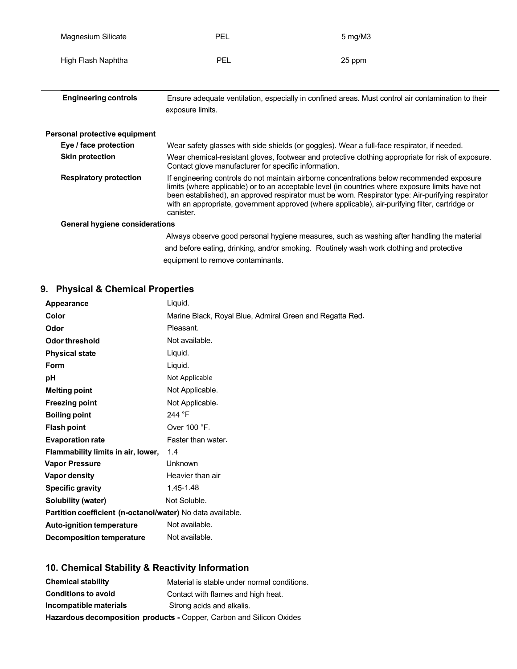| Magnesium Silicate                    | <b>PEL</b>                                                                                                                                                                                                                                                                                                                                                                                                          | 5 mg/M3                                                                                            |
|---------------------------------------|---------------------------------------------------------------------------------------------------------------------------------------------------------------------------------------------------------------------------------------------------------------------------------------------------------------------------------------------------------------------------------------------------------------------|----------------------------------------------------------------------------------------------------|
| High Flash Naphtha                    | PEL                                                                                                                                                                                                                                                                                                                                                                                                                 | 25 ppm                                                                                             |
| <b>Engineering controls</b>           | exposure limits.                                                                                                                                                                                                                                                                                                                                                                                                    | Ensure adequate ventilation, especially in confined areas. Must control air contamination to their |
| Personal protective equipment         |                                                                                                                                                                                                                                                                                                                                                                                                                     |                                                                                                    |
| Eye / face protection                 |                                                                                                                                                                                                                                                                                                                                                                                                                     | Wear safety glasses with side shields (or goggles). Wear a full-face respirator, if needed.        |
| <b>Skin protection</b>                | Contact glove manufacturer for specific information.                                                                                                                                                                                                                                                                                                                                                                | Wear chemical-resistant gloves, footwear and protective clothing appropriate for risk of exposure. |
| <b>Respiratory protection</b>         | If engineering controls do not maintain airborne concentrations below recommended exposure<br>limits (where applicable) or to an acceptable level (in countries where exposure limits have not<br>been established), an approved respirator must be worn. Respirator type: Air-purifying respirator<br>with an appropriate, government approved (where applicable), air-purifying filter, cartridge or<br>canister. |                                                                                                    |
| <b>General hygiene considerations</b> |                                                                                                                                                                                                                                                                                                                                                                                                                     |                                                                                                    |
|                                       |                                                                                                                                                                                                                                                                                                                                                                                                                     | Always observe good personal hygiene measures, such as washing after handling the material         |
|                                       |                                                                                                                                                                                                                                                                                                                                                                                                                     | and before eating, drinking, and/or smoking. Routinely wash work clothing and protective           |
|                                       | equipment to remove contaminants.                                                                                                                                                                                                                                                                                                                                                                                   |                                                                                                    |

# **9. Physical & Chemical Properties**

| Appearance                                                 | Liquid.                                                  |
|------------------------------------------------------------|----------------------------------------------------------|
| Color                                                      | Marine Black, Royal Blue, Admiral Green and Regatta Red. |
| Odor                                                       | Pleasant.                                                |
| Odor threshold                                             | Not available.                                           |
| <b>Physical state</b>                                      | Liquid.                                                  |
| Form                                                       | Liquid.                                                  |
| рH                                                         | Not Applicable                                           |
| <b>Melting point</b>                                       | Not Applicable.                                          |
| <b>Freezing point</b>                                      | Not Applicable.                                          |
| <b>Boiling point</b>                                       | 244 °F                                                   |
| <b>Flash point</b>                                         | Over 100 °F.                                             |
| <b>Evaporation rate</b>                                    | Faster than water.                                       |
| Flammability limits in air, lower,                         | 1.4                                                      |
| <b>Vapor Pressure</b>                                      | Unknown                                                  |
| <b>Vapor density</b>                                       | Heavier than air                                         |
| <b>Specific gravity</b>                                    | 1.45-1.48                                                |
| <b>Solubility (water)</b>                                  | Not Soluble.                                             |
| Partition coefficient (n-octanol/water) No data available. |                                                          |
| <b>Auto-ignition temperature</b>                           | Not available.                                           |
| Decomposition temperature                                  | Not available.                                           |
|                                                            |                                                          |

# **10. Chemical Stability & Reactivity Information**

| <b>Chemical stability</b>                                            | Material is stable under normal conditions. |  |
|----------------------------------------------------------------------|---------------------------------------------|--|
| <b>Conditions to avoid</b>                                           | Contact with flames and high heat.          |  |
| Incompatible materials                                               | Strong acids and alkalis.                   |  |
| Hazardous decomposition products - Copper, Carbon and Silicon Oxides |                                             |  |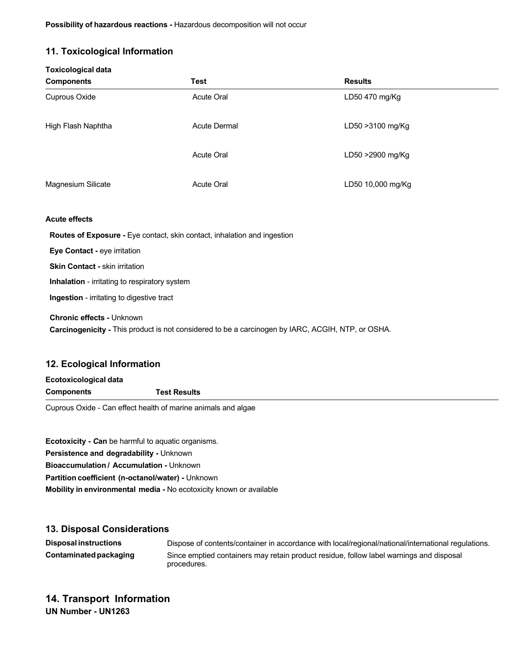# **11. Toxicological Information**

| <b>Toxicological data</b> |                     |                   |
|---------------------------|---------------------|-------------------|
| <b>Components</b>         | <b>Test</b>         | <b>Results</b>    |
| Cuprous Oxide             | Acute Oral          | LD50 470 mg/Kg    |
| High Flash Naphtha        | <b>Acute Dermal</b> | LD50 > 3100 mg/Kg |
|                           | <b>Acute Oral</b>   | LD50 >2900 mg/Kg  |
| Magnesium Silicate        | <b>Acute Oral</b>   | LD50 10,000 mg/Kg |
| <b>Acute effects</b>      |                     |                   |

**Acute effects**

 **Routes of Exposure -** Eye contact, skin contact, inhalation and ingestion

 **Eye Contact -** eye irritation

 **Skin Contact -** skin irritation

**Inhalation** - irritating to respiratory system

 **Ingestion** - irritating to digestive tract

 **Chronic effects -** Unknown

 **Carcinogenicity -** This product is not considered to be a carcinogen by IARC, ACGIH, NTP, or OSHA.

## **12. Ecological Information**

| Ecotoxicological data |                     |  |
|-----------------------|---------------------|--|
| <b>Components</b>     | <b>Test Results</b> |  |
|                       |                     |  |

Cuprous Oxide - Can effect health of marine animals and algae

**Ecotoxicity -** *C***an** be harmful to aquatic organisms. **Persistence and degradability -** Unknown **Bioaccumulation / Accumulation -** Unknown **Partition coefficient (n-octanol/water) -** Unknown **Mobility in environmental media -** No ecotoxicity known or available

### **13. Disposal Considerations**

**Disposal instructions** Dispose of contents/container in accordance with local/regional/national/international regulations. **Contaminatedpackaging** Since emptied containers may retain product residue, follow label warnings and disposal procedures.